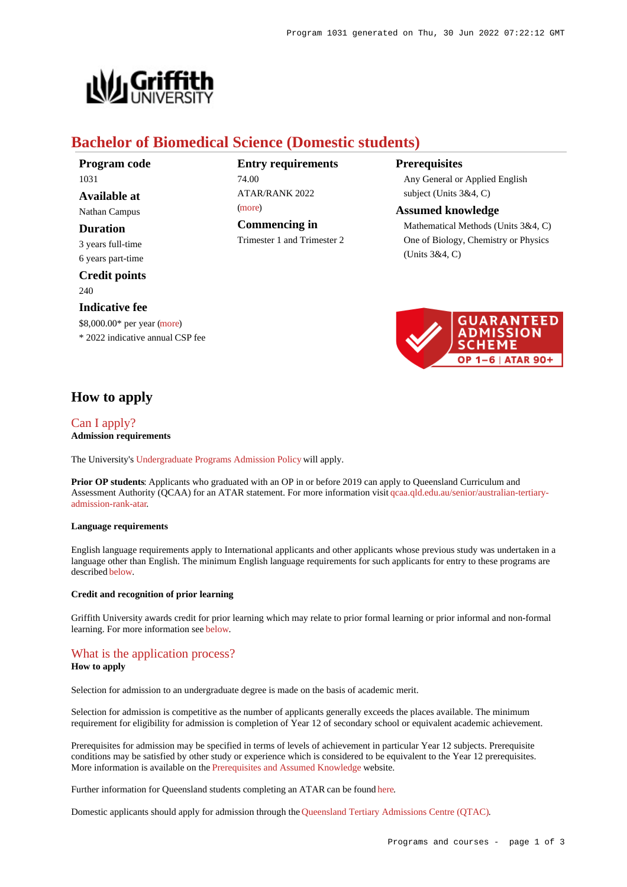

# **Bachelor of Biomedical Science (Domestic students)**

**Program code** 1031 **Available at**

Nathan Campus

## **Duration**

3 years full-time 6 years part-time

**Credit points** 240

#### **Indicative fee**

\$8,000.00\* per year [\(more](https://www148.griffith.edu.au/programs-courses/Program/1031/Overview/Domestic#fees)) \* 2022 indicative annual CSP fee

# **Entry requirements** 74.00  $ATAP/RANK 2022$

[\(more](https://www148.griffith.edu.au/programs-courses/Program/1031/HowToApply/Domestic#tac-entry-requirements)) **Commencing in**

Trimester 1 and Trimester 2

## **Prerequisites**

Any General or Applied English subject (Units 3&4, C)

#### **Assumed knowledge**

Mathematical Methods (Units 3&4, C) One of Biology, Chemistry or Physics (Units 3&4, C)



# **How to apply**

## [Can I apply?](https://www148.griffith.edu.au/programs-courses/Program/1031/HowToApply/Domestic#can-i-apply) **Admission requirements**

The University's [Undergraduate Programs Admission Policy](https://sharepointpubstor.blob.core.windows.net/policylibrary-prod/Undergraduate Programs Admission Policy.pdf) will apply.

**Prior OP students:** Applicants who graduated with an OP in or before 2019 can apply to Queensland Curriculum and Assessment Authority (QCAA) for an ATAR statement. For more information visit [qcaa.qld.edu.au/senior/australian-tertiary](http://qcaa.qld.edu.au/senior/australian-tertiary-admission-rank-atar)[admission-rank-atar](http://qcaa.qld.edu.au/senior/australian-tertiary-admission-rank-atar).

#### **Language requirements**

English language requirements apply to International applicants and other applicants whose previous study was undertaken in a language other than English. The minimum English language requirements for such applicants for entry to these programs are described [below](https://www148.griffith.edu.au/programs-courses/Program/1031/HowToApply/Domestic#language).

### **Credit and recognition of prior learning**

Griffith University awards credit for prior learning which may relate to prior formal learning or prior informal and non-formal learning. For more information see [below](https://www148.griffith.edu.au/programs-courses/Program/1031/HowToApply/Domestic#credit).

# [What is the application process?](https://www148.griffith.edu.au/programs-courses/Program/1031/HowToApply/Domestic#process)

#### **How to apply**

Selection for admission to an undergraduate degree is made on the basis of academic merit.

Selection for admission is competitive as the number of applicants generally exceeds the places available. The minimum requirement for eligibility for admission is completion of Year 12 of secondary school or equivalent academic achievement.

Prerequisites for admission may be specified in terms of levels of achievement in particular Year 12 subjects. Prerequisite conditions may be satisfied by other study or experience which is considered to be equivalent to the Year 12 prerequisites. More information is available on the [Prerequisites and Assumed Knowledge](https://www.griffith.edu.au/apply/prerequisites-assumed-knowledge) website.

Further information for Queensland students completing an ATAR can be found [here](https://www.griffith.edu.au/apply/undergraduate-study/high-school-students/admission-in-2021).

Domestic applicants should apply for admission through the [Queensland Tertiary Admissions Centre \(QTAC\)](http://www.qtac.edu.au/).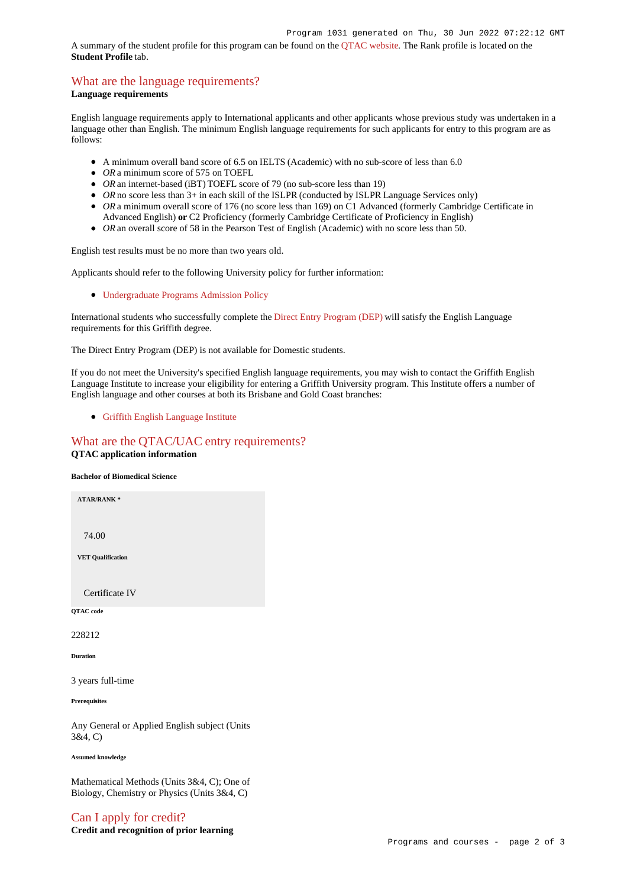A summary of the student profile for this program can be found on the [QTAC website](https://www.qtac.edu.au/courses/listing/bachelor-of-biomedical-science-228212/). The Rank profile is located on the **Student Profile** tab.

# [What are the language requirements?](https://www148.griffith.edu.au/programs-courses/Program/1031/HowToApply/Domestic#language)

### **Language requirements**

English language requirements apply to International applicants and other applicants whose previous study was undertaken in a language other than English. The minimum English language requirements for such applicants for entry to this program are as follows:

- A minimum overall band score of 6.5 on IELTS (Academic) with no sub-score of less than 6.0
- OR a minimum score of 575 on TOEFL
- *OR* an internet-based (iBT) TOEFL score of 79 (no sub-score less than 19)
- OR no score less than 3+ in each skill of the ISLPR (conducted by ISLPR Language Services only)
- OR a minimum overall score of 176 (no score less than 169) on C1 Advanced (formerly Cambridge Certificate in Advanced English) **or** C2 Proficiency (formerly Cambridge Certificate of Proficiency in English)
- *OR* an overall score of 58 in the Pearson Test of English (Academic) with no score less than 50.

English test results must be no more than two years old.

Applicants should refer to the following University policy for further information:

[Undergraduate Programs Admission Policy](http://policies.griffith.edu.au/pdf/Undergraduate Programs Admission Policy.pdf)

International students who successfully complete the [Direct Entry Program \(DEP\)](https://www.griffith.edu.au/international/griffith-english-language-institute/courses/direct-entry-program) will satisfy the English Language requirements for this Griffith degree.

The Direct Entry Program (DEP) is not available for Domestic students.

If you do not meet the University's specified English language requirements, you may wish to contact the Griffith English Language Institute to increase your eligibility for entering a Griffith University program. This Institute offers a number of English language and other courses at both its Brisbane and Gold Coast branches:

[Griffith English Language Institute](https://www.griffith.edu.au/international/griffith-english-language-institute)

## [What are the QTAC/UAC entry requirements?](https://www148.griffith.edu.au/programs-courses/Program/1031/HowToApply/Domestic#tac-entry-requirements) **QTAC application information**

## **Bachelor of Biomedical Science**

**ATAR/RANK \***

74.00

**VET Qualification**

Certificate IV

**QTAC code**

228212

**Duration**

3 years full-time

**Prerequisites**

Any General or Applied English subject (Units 3&4, C)

**Assumed knowledge**

Mathematical Methods (Units 3&4, C); One of Biology, Chemistry or Physics (Units 3&4, C)